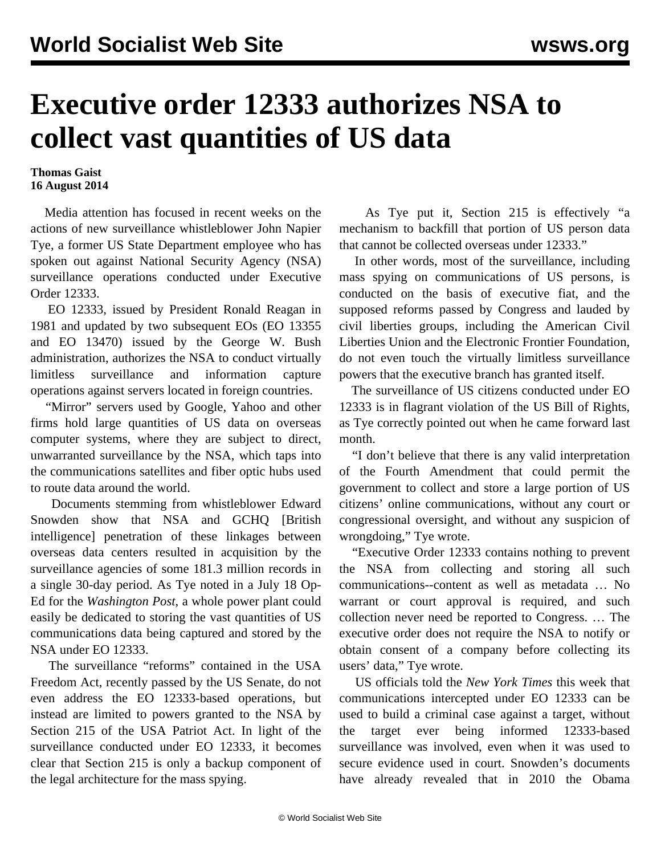## **Executive order 12333 authorizes NSA to collect vast quantities of US data**

## **Thomas Gaist 16 August 2014**

 Media attention has focused in recent weeks on the actions of new surveillance whistleblower John Napier Tye, a former US State Department employee who has spoken out against National Security Agency (NSA) surveillance operations conducted under Executive Order 12333.

 EO 12333, issued by President Ronald Reagan in 1981 and updated by two subsequent EOs (EO 13355 and EO 13470) issued by the George W. Bush administration, authorizes the NSA to conduct virtually limitless surveillance and information capture operations against servers located in foreign countries.

 "Mirror" servers used by Google, Yahoo and other firms hold large quantities of US data on overseas computer systems, where they are subject to direct, unwarranted surveillance by the NSA, which taps into the communications satellites and fiber optic hubs used to route data around the world.

 Documents stemming from whistleblower Edward Snowden show that NSA and GCHQ [British intelligence] penetration of these linkages between overseas data centers resulted in acquisition by the surveillance agencies of some 181.3 million records in a single 30-day period. As Tye noted in a July 18 Op-Ed for the *Washington Post*, a whole power plant could easily be dedicated to storing the vast quantities of US communications data being captured and stored by the NSA under EO 12333.

 The surveillance "reforms" contained in the USA Freedom Act, recently passed by the US Senate, do not even address the EO 12333-based operations, but instead are limited to powers granted to the NSA by Section 215 of the USA Patriot Act. In light of the surveillance conducted under EO 12333, it becomes clear that Section 215 is only a backup component of the legal architecture for the mass spying.

 As Tye put it, Section 215 is effectively "a mechanism to backfill that portion of US person data that cannot be collected overseas under 12333."

 In other words, most of the surveillance, including mass spying on communications of US persons, is conducted on the basis of executive fiat, and the supposed reforms passed by Congress and lauded by civil liberties groups, including the American Civil Liberties Union and the Electronic Frontier Foundation, do not even touch the virtually limitless surveillance powers that the executive branch has granted itself.

 The surveillance of US citizens conducted under EO 12333 is in flagrant violation of the US Bill of Rights, as Tye correctly pointed out when he came forward last month.

 "I don't believe that there is any valid interpretation of the Fourth Amendment that could permit the government to collect and store a large portion of US citizens' online communications, without any court or congressional oversight, and without any suspicion of wrongdoing," Tye wrote.

 "Executive Order 12333 contains nothing to prevent the NSA from collecting and storing all such communications--content as well as metadata … No warrant or court approval is required, and such collection never need be reported to Congress. … The executive order does not require the NSA to notify or obtain consent of a company before collecting its users' data," Tye wrote.

 US officials told the *New York Times* this week that communications intercepted under EO 12333 can be used to build a criminal case against a target, without the target ever being informed 12333-based surveillance was involved, even when it was used to secure evidence used in court. Snowden's documents have already revealed that in 2010 the Obama